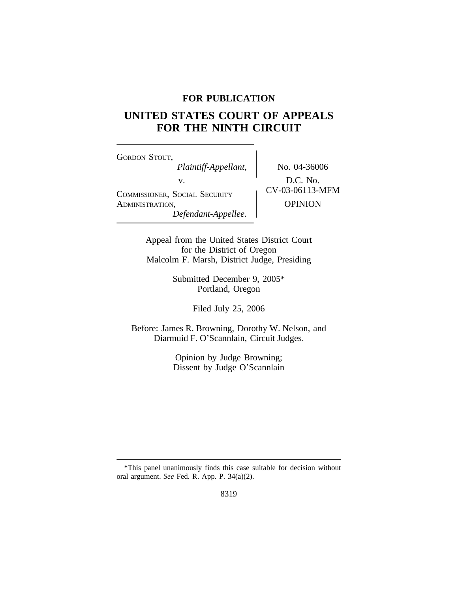# **FOR PUBLICATION**

# **UNITED STATES COURT OF APPEALS FOR THE NINTH CIRCUIT**

<sup>G</sup>ORDON STOUT, *Plaintiff-Appellant,* No. 04-36006 v.  $D.C. No.$ <br>CV-03-06113-MFM COMMISSIONER, SOCIAL SECURITY ADMINISTRATION, OPINION *Defendant-Appellee.*

Appeal from the United States District Court for the District of Oregon Malcolm F. Marsh, District Judge, Presiding

> Submitted December 9, 2005\* Portland, Oregon

> > Filed July 25, 2006

Before: James R. Browning, Dorothy W. Nelson, and Diarmuid F. O'Scannlain, Circuit Judges.

> Opinion by Judge Browning; Dissent by Judge O'Scannlain

<sup>\*</sup>This panel unanimously finds this case suitable for decision without oral argument. *See* Fed. R. App. P. 34(a)(2).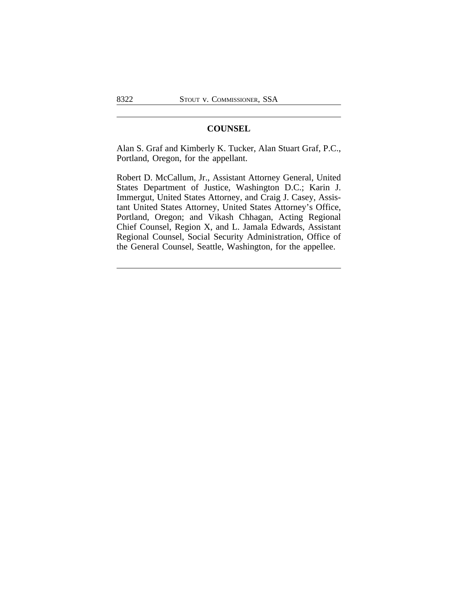# **COUNSEL**

Alan S. Graf and Kimberly K. Tucker, Alan Stuart Graf, P.C., Portland, Oregon, for the appellant.

Robert D. McCallum, Jr., Assistant Attorney General, United States Department of Justice, Washington D.C.; Karin J. Immergut, United States Attorney, and Craig J. Casey, Assistant United States Attorney, United States Attorney's Office, Portland, Oregon; and Vikash Chhagan, Acting Regional Chief Counsel, Region X, and L. Jamala Edwards, Assistant Regional Counsel, Social Security Administration, Office of the General Counsel, Seattle, Washington, for the appellee.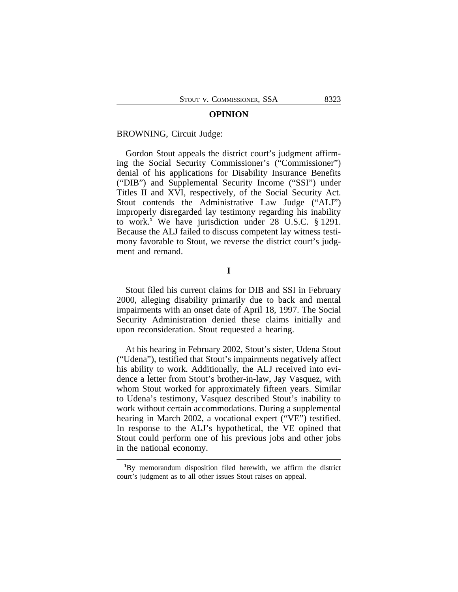#### **OPINION**

#### BROWNING, Circuit Judge:

Gordon Stout appeals the district court's judgment affirming the Social Security Commissioner's ("Commissioner") denial of his applications for Disability Insurance Benefits ("DIB") and Supplemental Security Income ("SSI") under Titles II and XVI, respectively, of the Social Security Act. Stout contends the Administrative Law Judge ("ALJ") improperly disregarded lay testimony regarding his inability to work.**<sup>1</sup>** We have jurisdiction under 28 U.S.C. § 1291. Because the ALJ failed to discuss competent lay witness testimony favorable to Stout, we reverse the district court's judgment and remand.

**I**

Stout filed his current claims for DIB and SSI in February 2000, alleging disability primarily due to back and mental impairments with an onset date of April 18, 1997. The Social Security Administration denied these claims initially and upon reconsideration. Stout requested a hearing.

At his hearing in February 2002, Stout's sister, Udena Stout ("Udena"), testified that Stout's impairments negatively affect his ability to work. Additionally, the ALJ received into evidence a letter from Stout's brother-in-law, Jay Vasquez, with whom Stout worked for approximately fifteen years. Similar to Udena's testimony, Vasquez described Stout's inability to work without certain accommodations. During a supplemental hearing in March 2002, a vocational expert ("VE") testified. In response to the ALJ's hypothetical, the VE opined that Stout could perform one of his previous jobs and other jobs in the national economy.

**<sup>1</sup>**By memorandum disposition filed herewith, we affirm the district court's judgment as to all other issues Stout raises on appeal.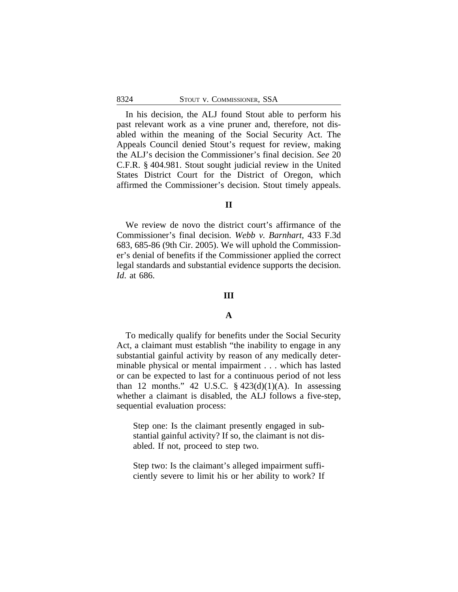In his decision, the ALJ found Stout able to perform his past relevant work as a vine pruner and, therefore, not disabled within the meaning of the Social Security Act. The Appeals Council denied Stout's request for review, making the ALJ's decision the Commissioner's final decision. *See* 20 C.F.R. § 404.981. Stout sought judicial review in the United States District Court for the District of Oregon, which affirmed the Commissioner's decision. Stout timely appeals.

# **II**

We review de novo the district court's affirmance of the Commissioner's final decision. *Webb v. Barnhart*, 433 F.3d 683, 685-86 (9th Cir. 2005). We will uphold the Commissioner's denial of benefits if the Commissioner applied the correct legal standards and substantial evidence supports the decision. *Id*. at 686.

## **III**

#### **A**

To medically qualify for benefits under the Social Security Act, a claimant must establish "the inability to engage in any substantial gainful activity by reason of any medically determinable physical or mental impairment . . . which has lasted or can be expected to last for a continuous period of not less than 12 months." 42 U.S.C.  $\S$  423(d)(1)(A). In assessing whether a claimant is disabled, the ALJ follows a five-step, sequential evaluation process:

Step one: Is the claimant presently engaged in substantial gainful activity? If so, the claimant is not disabled. If not, proceed to step two.

Step two: Is the claimant's alleged impairment sufficiently severe to limit his or her ability to work? If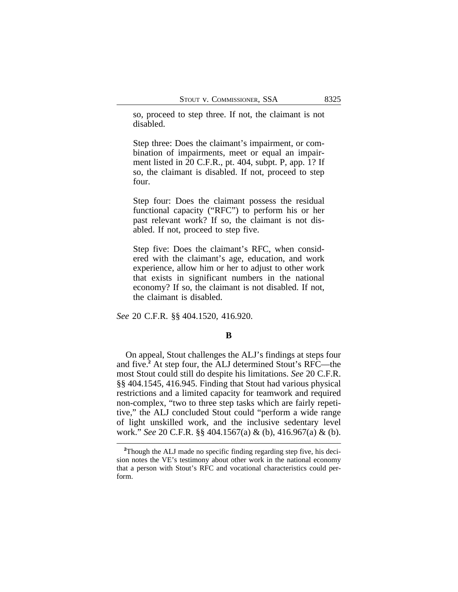so, proceed to step three. If not, the claimant is not disabled.

Step three: Does the claimant's impairment, or combination of impairments, meet or equal an impairment listed in 20 C.F.R., pt. 404, subpt. P, app. 1? If so, the claimant is disabled. If not, proceed to step four.

Step four: Does the claimant possess the residual functional capacity ("RFC") to perform his or her past relevant work? If so, the claimant is not disabled. If not, proceed to step five.

Step five: Does the claimant's RFC, when considered with the claimant's age, education, and work experience, allow him or her to adjust to other work that exists in significant numbers in the national economy? If so, the claimant is not disabled. If not, the claimant is disabled.

*See* 20 C.F.R. §§ 404.1520, 416.920.

## **B**

On appeal, Stout challenges the ALJ's findings at steps four and five.**<sup>2</sup>** At step four, the ALJ determined Stout's RFC—the most Stout could still do despite his limitations. *See* 20 C.F.R. §§ 404.1545, 416.945. Finding that Stout had various physical restrictions and a limited capacity for teamwork and required non-complex, "two to three step tasks which are fairly repetitive," the ALJ concluded Stout could "perform a wide range of light unskilled work, and the inclusive sedentary level work." *See* 20 C.F.R. §§ 404.1567(a) & (b), 416.967(a) & (b).

**<sup>2</sup>**Though the ALJ made no specific finding regarding step five, his decision notes the VE's testimony about other work in the national economy that a person with Stout's RFC and vocational characteristics could perform.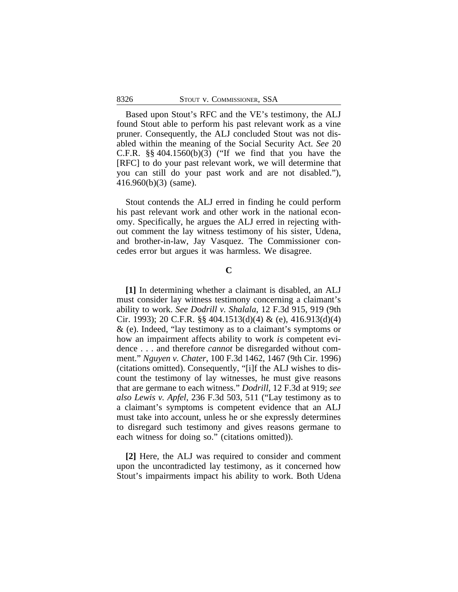Based upon Stout's RFC and the VE's testimony, the ALJ found Stout able to perform his past relevant work as a vine pruner. Consequently, the ALJ concluded Stout was not disabled within the meaning of the Social Security Act. *See* 20 C.F.R.  $\S$ § 404.1560(b)(3) ("If we find that you have the [RFC] to do your past relevant work, we will determine that you can still do your past work and are not disabled."), 416.960(b)(3) (same).

Stout contends the ALJ erred in finding he could perform his past relevant work and other work in the national economy. Specifically, he argues the ALJ erred in rejecting without comment the lay witness testimony of his sister, Udena, and brother-in-law, Jay Vasquez. The Commissioner concedes error but argues it was harmless. We disagree.

**C**

**[1]** In determining whether a claimant is disabled, an ALJ must consider lay witness testimony concerning a claimant's ability to work. *See Dodrill v. Shalala*, 12 F.3d 915, 919 (9th Cir. 1993); 20 C.F.R. §§ 404.1513(d)(4) & (e), 416.913(d)(4) & (e). Indeed, "lay testimony as to a claimant's symptoms or how an impairment affects ability to work *is* competent evidence . . . and therefore *cannot* be disregarded without comment." *Nguyen v. Chater*, 100 F.3d 1462, 1467 (9th Cir. 1996) (citations omitted). Consequently, "[i]f the ALJ wishes to discount the testimony of lay witnesses, he must give reasons that are germane to each witness." *Dodrill*, 12 F.3d at 919; *see also Lewis v. Apfel*, 236 F.3d 503, 511 ("Lay testimony as to a claimant's symptoms is competent evidence that an ALJ must take into account, unless he or she expressly determines to disregard such testimony and gives reasons germane to each witness for doing so." (citations omitted)).

**[2]** Here, the ALJ was required to consider and comment upon the uncontradicted lay testimony, as it concerned how Stout's impairments impact his ability to work. Both Udena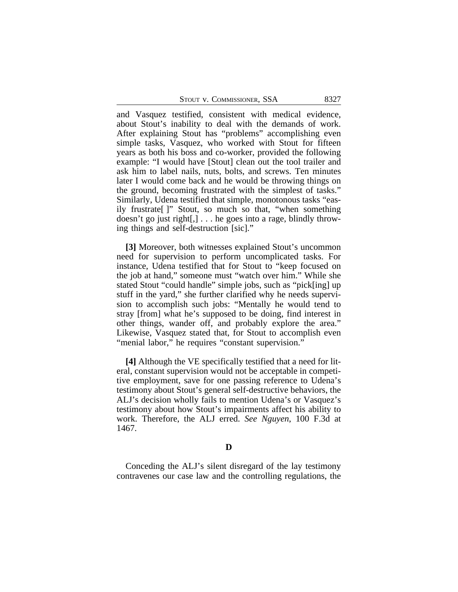STOUT V. COMMISSIONER, SSA 8327

and Vasquez testified, consistent with medical evidence, about Stout's inability to deal with the demands of work. After explaining Stout has "problems" accomplishing even simple tasks, Vasquez, who worked with Stout for fifteen years as both his boss and co-worker, provided the following example: "I would have [Stout] clean out the tool trailer and ask him to label nails, nuts, bolts, and screws. Ten minutes later I would come back and he would be throwing things on the ground, becoming frustrated with the simplest of tasks." Similarly, Udena testified that simple, monotonous tasks "easily frustrate[ ]" Stout, so much so that, "when something doesn't go just right[,] . . . he goes into a rage, blindly throwing things and self-destruction [sic]."

**[3]** Moreover, both witnesses explained Stout's uncommon need for supervision to perform uncomplicated tasks. For instance, Udena testified that for Stout to "keep focused on the job at hand," someone must "watch over him." While she stated Stout "could handle" simple jobs, such as "pick[ing] up stuff in the yard," she further clarified why he needs supervision to accomplish such jobs: "Mentally he would tend to stray [from] what he's supposed to be doing, find interest in other things, wander off, and probably explore the area." Likewise, Vasquez stated that, for Stout to accomplish even "menial labor," he requires "constant supervision."

**[4]** Although the VE specifically testified that a need for literal, constant supervision would not be acceptable in competitive employment, save for one passing reference to Udena's testimony about Stout's general self-destructive behaviors, the ALJ's decision wholly fails to mention Udena's or Vasquez's testimony about how Stout's impairments affect his ability to work. Therefore, the ALJ erred. *See Nguyen*, 100 F.3d at 1467.

## **D**

Conceding the ALJ's silent disregard of the lay testimony contravenes our case law and the controlling regulations, the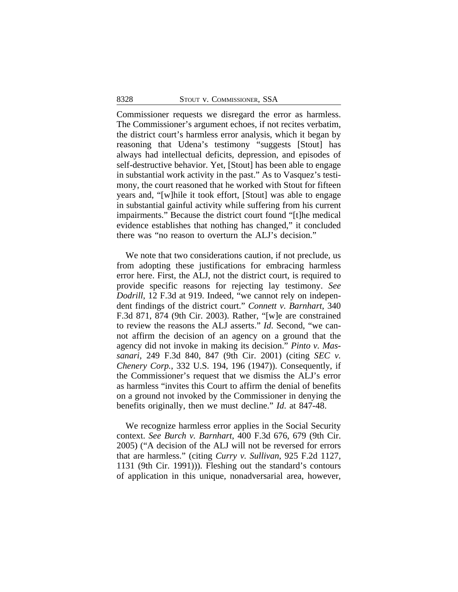Commissioner requests we disregard the error as harmless. The Commissioner's argument echoes, if not recites verbatim, the district court's harmless error analysis, which it began by reasoning that Udena's testimony "suggests [Stout] has always had intellectual deficits, depression, and episodes of self-destructive behavior. Yet, [Stout] has been able to engage in substantial work activity in the past." As to Vasquez's testimony, the court reasoned that he worked with Stout for fifteen years and, "[w]hile it took effort, [Stout] was able to engage in substantial gainful activity while suffering from his current impairments." Because the district court found "[t]he medical evidence establishes that nothing has changed," it concluded there was "no reason to overturn the ALJ's decision."

We note that two considerations caution, if not preclude, us from adopting these justifications for embracing harmless error here. First, the ALJ, not the district court, is required to provide specific reasons for rejecting lay testimony. *See Dodrill*, 12 F.3d at 919. Indeed, "we cannot rely on independent findings of the district court." *Connett v. Barnhart*, 340 F.3d 871, 874 (9th Cir. 2003). Rather, "[w]e are constrained to review the reasons the ALJ asserts." *Id*. Second, "we cannot affirm the decision of an agency on a ground that the agency did not invoke in making its decision." *Pinto v. Massanari*, 249 F.3d 840, 847 (9th Cir. 2001) (citing *SEC v. Chenery Corp.*, 332 U.S. 194, 196 (1947)). Consequently, if the Commissioner's request that we dismiss the ALJ's error as harmless "invites this Court to affirm the denial of benefits on a ground not invoked by the Commissioner in denying the benefits originally, then we must decline." *Id*. at 847-48.

We recognize harmless error applies in the Social Security context. *See Burch v. Barnhart*, 400 F.3d 676, 679 (9th Cir. 2005) ("A decision of the ALJ will not be reversed for errors that are harmless." (citing *Curry v. Sullivan*, 925 F.2d 1127, 1131 (9th Cir. 1991))). Fleshing out the standard's contours of application in this unique, nonadversarial area, however,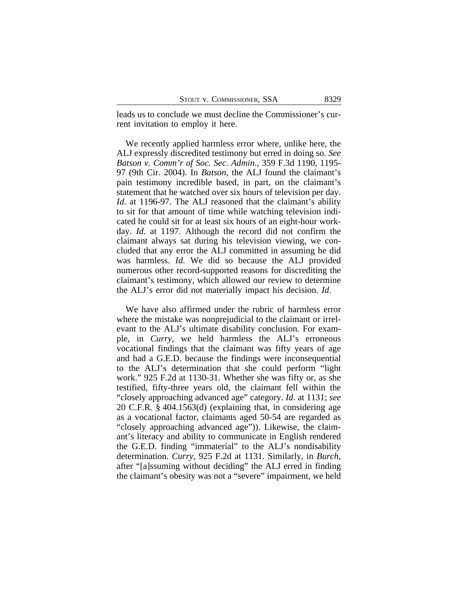leads us to conclude we must decline the Commissioner's current invitation to employ it here.

We recently applied harmless error where, unlike here, the ALJ expressly discredited testimony but erred in doing so. *See Batson v. Comm'r of Soc. Sec. Admin*., 359 F.3d 1190, 1195- 97 (9th Cir. 2004). In *Batson*, the ALJ found the claimant's pain testimony incredible based, in part, on the claimant's statement that he watched over six hours of television per day. *Id.* at 1196-97. The ALJ reasoned that the claimant's ability to sit for that amount of time while watching television indicated he could sit for at least six hours of an eight-hour workday. *Id*. at 1197. Although the record did not confirm the claimant always sat during his television viewing, we concluded that any error the ALJ committed in assuming he did was harmless. *Id*. We did so because the ALJ provided numerous other record-supported reasons for discrediting the claimant's testimony, which allowed our review to determine the ALJ's error did not materially impact his decision. *Id*.

We have also affirmed under the rubric of harmless error where the mistake was nonprejudicial to the claimant or irrelevant to the ALJ's ultimate disability conclusion. For example, in *Curry*, we held harmless the ALJ's erroneous vocational findings that the claimant was fifty years of age and had a G.E.D. because the findings were inconsequential to the ALJ's determination that she could perform "light work." 925 F.2d at 1130-31. Whether she was fifty or, as she testified, fifty-three years old, the claimant fell within the "closely approaching advanced age" category. *Id*. at 1131; *see* 20 C.F.R. § 404.1563(d) (explaining that, in considering age as a vocational factor, claimants aged 50-54 are regarded as "closely approaching advanced age")). Likewise, the claimant's literacy and ability to communicate in English rendered the G.E.D. finding "immaterial" to the ALJ's nondisability determination. *Curry*, 925 F.2d at 1131. Similarly, in *Burch*, after "[a]ssuming without deciding" the ALJ erred in finding the claimant's obesity was not a "severe" impairment, we held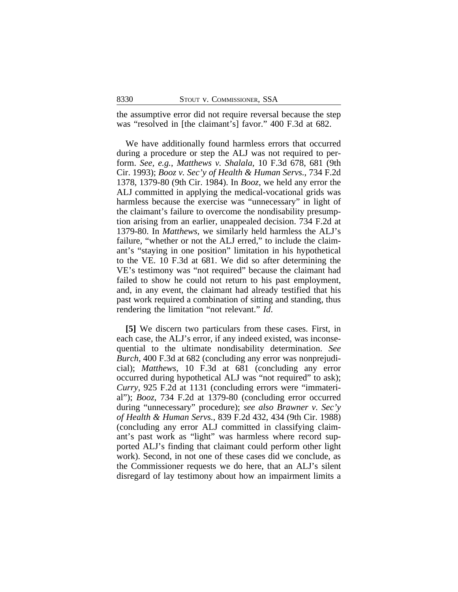the assumptive error did not require reversal because the step was "resolved in [the claimant's] favor." 400 F.3d at 682.

We have additionally found harmless errors that occurred during a procedure or step the ALJ was not required to perform. *See, e.g.*, *Matthews v. Shalala*, 10 F.3d 678, 681 (9th Cir. 1993); *Booz v. Sec'y of Health & Human Servs.*, 734 F.2d 1378, 1379-80 (9th Cir. 1984). In *Booz*, we held any error the ALJ committed in applying the medical-vocational grids was harmless because the exercise was "unnecessary" in light of the claimant's failure to overcome the nondisability presumption arising from an earlier, unappealed decision. 734 F.2d at 1379-80. In *Matthews*, we similarly held harmless the ALJ's failure, "whether or not the ALJ erred," to include the claimant's "staying in one position" limitation in his hypothetical to the VE. 10 F.3d at 681. We did so after determining the VE's testimony was "not required" because the claimant had failed to show he could not return to his past employment, and, in any event, the claimant had already testified that his past work required a combination of sitting and standing, thus rendering the limitation "not relevant." *Id*.

**[5]** We discern two particulars from these cases. First, in each case, the ALJ's error, if any indeed existed, was inconsequential to the ultimate nondisability determination. *See Burch*, 400 F.3d at 682 (concluding any error was nonprejudicial); *Matthews*, 10 F.3d at 681 (concluding any error occurred during hypothetical ALJ was "not required" to ask); *Curry*, 925 F.2d at 1131 (concluding errors were "immaterial"); *Booz*, 734 F.2d at 1379-80 (concluding error occurred during "unnecessary" procedure); *see also Brawner v. Sec'y of Health & Human Servs.*, 839 F.2d 432, 434 (9th Cir. 1988) (concluding any error ALJ committed in classifying claimant's past work as "light" was harmless where record supported ALJ's finding that claimant could perform other light work). Second, in not one of these cases did we conclude, as the Commissioner requests we do here, that an ALJ's silent disregard of lay testimony about how an impairment limits a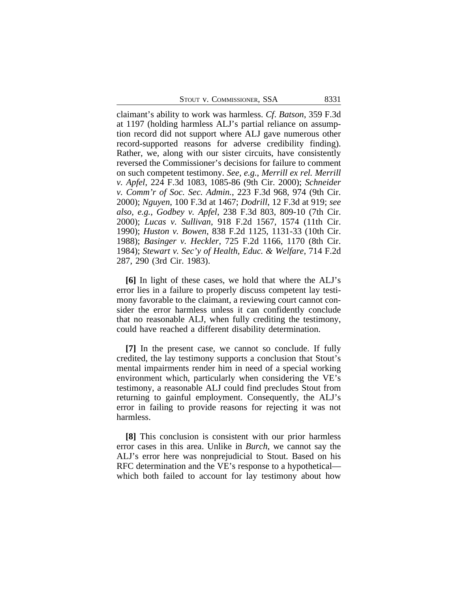claimant's ability to work was harmless. *Cf*. *Batson*, 359 F.3d at 1197 (holding harmless ALJ's partial reliance on assumption record did not support where ALJ gave numerous other record-supported reasons for adverse credibility finding). Rather, we, along with our sister circuits, have consistently reversed the Commissioner's decisions for failure to comment on such competent testimony. *See, e.g.*, *Merrill ex rel. Merrill v. Apfel*, 224 F.3d 1083, 1085-86 (9th Cir. 2000); *Schneider v. Comm'r of Soc. Sec. Admin.*, 223 F.3d 968, 974 (9th Cir. 2000); *Nguyen*, 100 F.3d at 1467; *Dodrill*, 12 F.3d at 919; *see also, e.g.*, *Godbey v. Apfel*, 238 F.3d 803, 809-10 (7th Cir. 2000); *Lucas v. Sullivan*, 918 F.2d 1567, 1574 (11th Cir. 1990); *Huston v. Bowen*, 838 F.2d 1125, 1131-33 (10th Cir. 1988); *Basinger v. Heckler*, 725 F.2d 1166, 1170 (8th Cir. 1984); *Stewart v. Sec'y of Health, Educ. & Welfare*, 714 F.2d 287, 290 (3rd Cir. 1983).

**[6]** In light of these cases, we hold that where the ALJ's error lies in a failure to properly discuss competent lay testimony favorable to the claimant, a reviewing court cannot consider the error harmless unless it can confidently conclude that no reasonable ALJ, when fully crediting the testimony, could have reached a different disability determination.

**[7]** In the present case, we cannot so conclude. If fully credited, the lay testimony supports a conclusion that Stout's mental impairments render him in need of a special working environment which, particularly when considering the VE's testimony, a reasonable ALJ could find precludes Stout from returning to gainful employment. Consequently, the ALJ's error in failing to provide reasons for rejecting it was not harmless.

**[8]** This conclusion is consistent with our prior harmless error cases in this area. Unlike in *Burch*, we cannot say the ALJ's error here was nonprejudicial to Stout. Based on his RFC determination and the VE's response to a hypothetical which both failed to account for lay testimony about how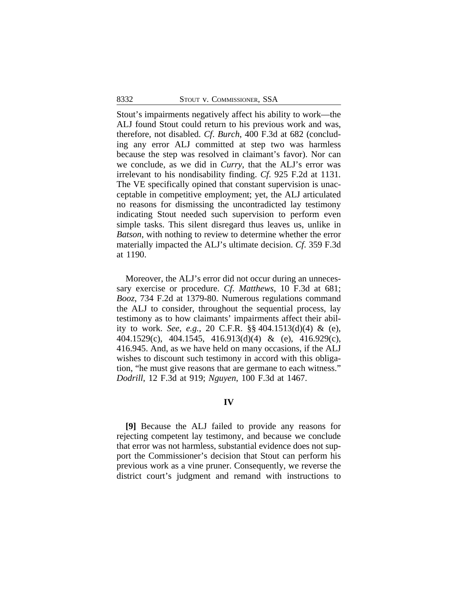Stout's impairments negatively affect his ability to work—the ALJ found Stout could return to his previous work and was, therefore, not disabled. *Cf*. *Burch*, 400 F.3d at 682 (concluding any error ALJ committed at step two was harmless because the step was resolved in claimant's favor). Nor can we conclude, as we did in *Curry*, that the ALJ's error was irrelevant to his nondisability finding. *Cf*. 925 F.2d at 1131*.* The VE specifically opined that constant supervision is unacceptable in competitive employment; yet, the ALJ articulated no reasons for dismissing the uncontradicted lay testimony indicating Stout needed such supervision to perform even simple tasks. This silent disregard thus leaves us, unlike in *Batson*, with nothing to review to determine whether the error materially impacted the ALJ's ultimate decision. *Cf*. 359 F.3d at 1190.

Moreover, the ALJ's error did not occur during an unnecessary exercise or procedure. *Cf*. *Matthews*, 10 F.3d at 681; *Booz*, 734 F.2d at 1379-80. Numerous regulations command the ALJ to consider, throughout the sequential process, lay testimony as to how claimants' impairments affect their ability to work. *See, e.g.*, 20 C.F.R. §§ 404.1513(d)(4) & (e), 404.1529(c), 404.1545, 416.913(d)(4) & (e), 416.929(c), 416.945. And, as we have held on many occasions, if the ALJ wishes to discount such testimony in accord with this obligation, "he must give reasons that are germane to each witness." *Dodrill*, 12 F.3d at 919; *Nguyen*, 100 F.3d at 1467.

## **IV**

**[9]** Because the ALJ failed to provide any reasons for rejecting competent lay testimony, and because we conclude that error was not harmless, substantial evidence does not support the Commissioner's decision that Stout can perform his previous work as a vine pruner. Consequently, we reverse the district court's judgment and remand with instructions to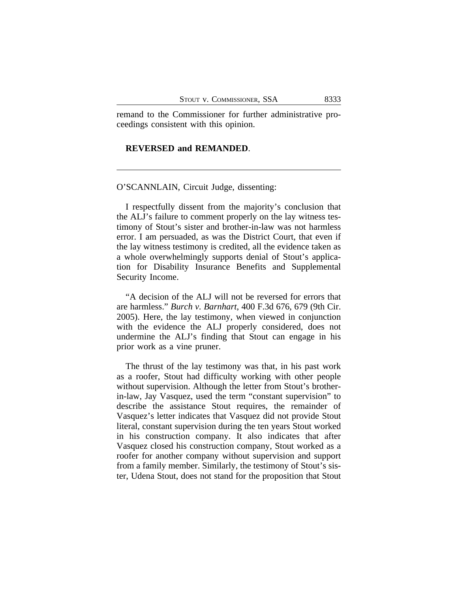remand to the Commissioner for further administrative proceedings consistent with this opinion.

## **REVERSED and REMANDED**.

#### O'SCANNLAIN, Circuit Judge, dissenting:

I respectfully dissent from the majority's conclusion that the ALJ's failure to comment properly on the lay witness testimony of Stout's sister and brother-in-law was not harmless error. I am persuaded, as was the District Court, that even if the lay witness testimony is credited, all the evidence taken as a whole overwhelmingly supports denial of Stout's application for Disability Insurance Benefits and Supplemental Security Income.

"A decision of the ALJ will not be reversed for errors that are harmless." *Burch v. Barnhart*, 400 F.3d 676, 679 (9th Cir. 2005). Here, the lay testimony, when viewed in conjunction with the evidence the ALJ properly considered, does not undermine the ALJ's finding that Stout can engage in his prior work as a vine pruner.

The thrust of the lay testimony was that, in his past work as a roofer, Stout had difficulty working with other people without supervision. Although the letter from Stout's brotherin-law, Jay Vasquez, used the term "constant supervision" to describe the assistance Stout requires, the remainder of Vasquez's letter indicates that Vasquez did not provide Stout literal, constant supervision during the ten years Stout worked in his construction company. It also indicates that after Vasquez closed his construction company, Stout worked as a roofer for another company without supervision and support from a family member. Similarly, the testimony of Stout's sister, Udena Stout, does not stand for the proposition that Stout